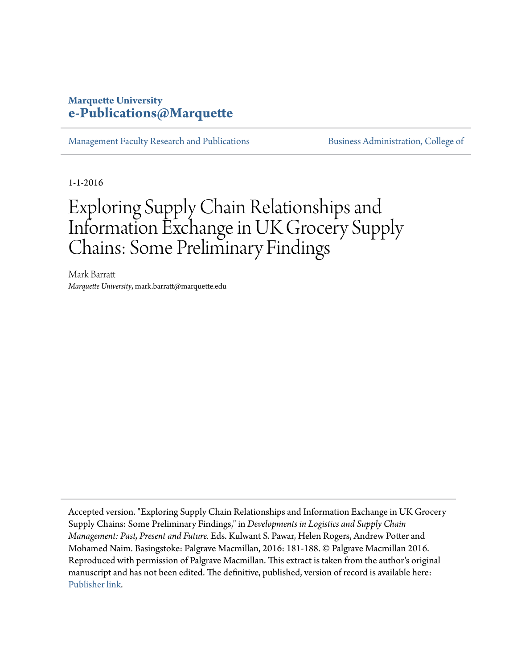#### **Marquette University [e-Publications@Marquette](http://epublications.marquette.edu)**

[Management Faculty Research and Publications](http://epublications.marquette.edu/mgmt_fac) **Business Administration**, College of

1-1-2016

# Exploring Supply Chain Relationships and Information Exchange in UK Grocery Supply Chains: Some Preliminary Findings

Mark Barratt *Marquette University*, mark.barratt@marquette.edu

Accepted version. "Exploring Supply Chain Relationships and Information Exchange in UK Grocery Supply Chains: Some Preliminary Findings," in *Developments in Logistics and Supply Chain Management: Past, Present and Future.* Eds. Kulwant S. Pawar, Helen Rogers, Andrew Potter and Mohamed Naim. Basingstoke: Palgrave Macmillan, 2016: 181-188. © Palgrave Macmillan 2016. Reproduced with permission of Palgrave Macmillan. This extract is taken from the author's original manuscript and has not been edited. The definitive, published, version of record is available here: [Publisher link](http://www.palgrave.com/gp/book/9781137541239).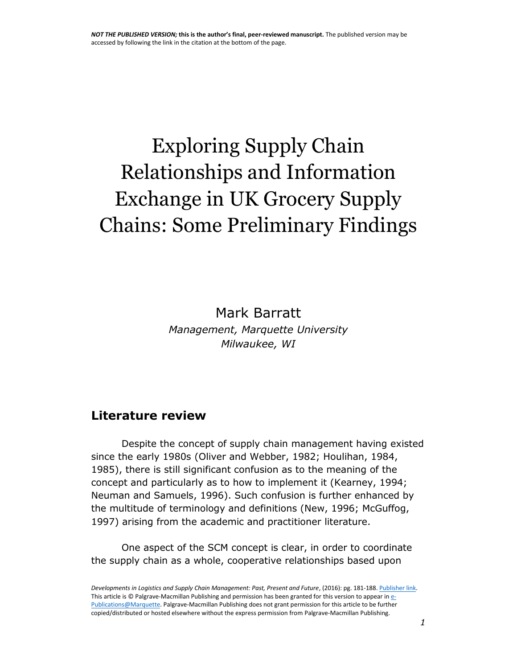# Exploring Supply Chain Relationships and Information Exchange in UK Grocery Supply Chains: Some Preliminary Findings

Mark Barratt *Management, Marquette University Milwaukee, WI*

#### **Literature review**

Despite the concept of supply chain management having existed since the early 1980s (Oliver and Webber, 1982; Houlihan, 1984, 1985), there is still significant confusion as to the meaning of the concept and particularly as to how to implement it (Kearney, 1994; Neuman and Samuels, 1996). Such confusion is further enhanced by the multitude of terminology and definitions (New, 1996; McGuffog, 1997) arising from the academic and practitioner literature.

One aspect of the SCM concept is clear, in order to coordinate the supply chain as a whole, cooperative relationships based upon

*Developments in Logistics and Supply Chain Management: Past, Present and Future*, (2016): pg. 181-188[. Publisher link.](http://www.palgrave.com/gp/book/9781137541239)  This article is © Palgrave-Macmillan Publishing and permission has been granted for this version to appear i[n e-](http://epublications.marquette.edu/)[Publications@Marquette.](http://epublications.marquette.edu/) Palgrave-Macmillan Publishing does not grant permission for this article to be further copied/distributed or hosted elsewhere without the express permission from Palgrave-Macmillan Publishing.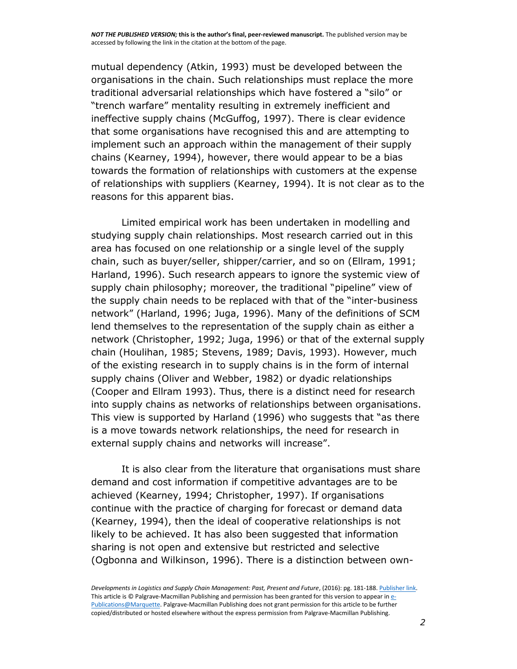mutual dependency (Atkin, 1993) must be developed between the organisations in the chain. Such relationships must replace the more traditional adversarial relationships which have fostered a "silo" or "trench warfare" mentality resulting in extremely inefficient and ineffective supply chains (McGuffog, 1997). There is clear evidence that some organisations have recognised this and are attempting to implement such an approach within the management of their supply chains (Kearney, 1994), however, there would appear to be a bias towards the formation of relationships with customers at the expense of relationships with suppliers (Kearney, 1994). It is not clear as to the reasons for this apparent bias.

Limited empirical work has been undertaken in modelling and studying supply chain relationships. Most research carried out in this area has focused on one relationship or a single level of the supply chain, such as buyer/seller, shipper/carrier, and so on (Ellram, 1991; Harland, 1996). Such research appears to ignore the systemic view of supply chain philosophy; moreover, the traditional "pipeline" view of the supply chain needs to be replaced with that of the "inter-business network" (Harland, 1996; Juga, 1996). Many of the definitions of SCM lend themselves to the representation of the supply chain as either a network (Christopher, 1992; Juga, 1996) or that of the external supply chain (Houlihan, 1985; Stevens, 1989; Davis, 1993). However, much of the existing research in to supply chains is in the form of internal supply chains (Oliver and Webber, 1982) or dyadic relationships (Cooper and Ellram 1993). Thus, there is a distinct need for research into supply chains as networks of relationships between organisations. This view is supported by Harland (1996) who suggests that "as there is a move towards network relationships, the need for research in external supply chains and networks will increase".

It is also clear from the literature that organisations must share demand and cost information if competitive advantages are to be achieved (Kearney, 1994; Christopher, 1997). If organisations continue with the practice of charging for forecast or demand data (Kearney, 1994), then the ideal of cooperative relationships is not likely to be achieved. It has also been suggested that information sharing is not open and extensive but restricted and selective (Ogbonna and Wilkinson, 1996). There is a distinction between own-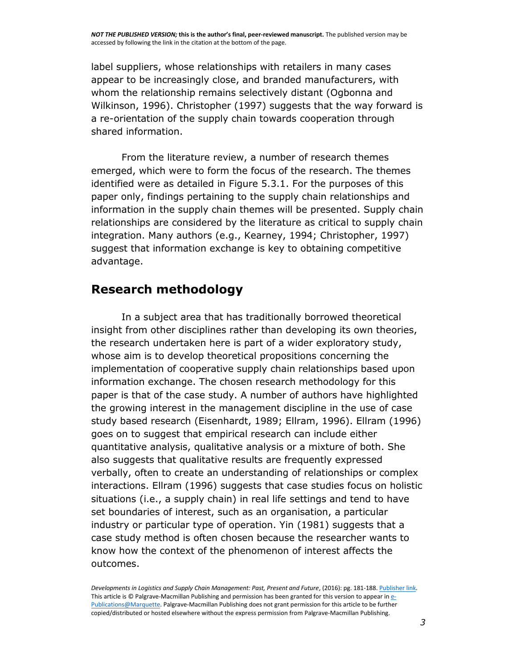label suppliers, whose relationships with retailers in many cases appear to be increasingly close, and branded manufacturers, with whom the relationship remains selectively distant (Ogbonna and Wilkinson, 1996). Christopher (1997) suggests that the way forward is a re-orientation of the supply chain towards cooperation through shared information.

From the literature review, a number of research themes emerged, which were to form the focus of the research. The themes identified were as detailed in Figure 5.3.1. For the purposes of this paper only, findings pertaining to the supply chain relationships and information in the supply chain themes will be presented. Supply chain relationships are considered by the literature as critical to supply chain integration. Many authors (e.g., Kearney, 1994; Christopher, 1997) suggest that information exchange is key to obtaining competitive advantage.

# **Research methodology**

In a subject area that has traditionally borrowed theoretical insight from other disciplines rather than developing its own theories, the research undertaken here is part of a wider exploratory study, whose aim is to develop theoretical propositions concerning the implementation of cooperative supply chain relationships based upon information exchange. The chosen research methodology for this paper is that of the case study. A number of authors have highlighted the growing interest in the management discipline in the use of case study based research (Eisenhardt, 1989; Ellram, 1996). Ellram (1996) goes on to suggest that empirical research can include either quantitative analysis, qualitative analysis or a mixture of both. She also suggests that qualitative results are frequently expressed verbally, often to create an understanding of relationships or complex interactions. Ellram (1996) suggests that case studies focus on holistic situations (i.e., a supply chain) in real life settings and tend to have set boundaries of interest, such as an organisation, a particular industry or particular type of operation. Yin (1981) suggests that a case study method is often chosen because the researcher wants to know how the context of the phenomenon of interest affects the outcomes.

*Developments in Logistics and Supply Chain Management: Past, Present and Future*, (2016): pg. 181-188[. Publisher link.](http://www.palgrave.com/gp/book/9781137541239)  This article is  $\odot$  Palgrave-Macmillan Publishing and permission has been granted for this version to appear in  $e$ -[Publications@Marquette.](http://epublications.marquette.edu/) Palgrave-Macmillan Publishing does not grant permission for this article to be further copied/distributed or hosted elsewhere without the express permission from Palgrave-Macmillan Publishing.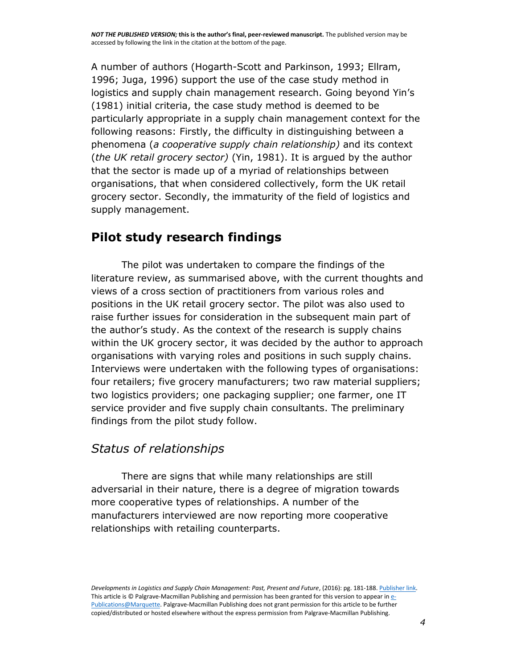*NOT THE PUBLISHED VERSION;* **this is the author's final, peer-reviewed manuscript.** The published version may be accessed by following the link in the citation at the bottom of the page.

A number of authors (Hogarth-Scott and Parkinson, 1993; Ellram, 1996; Juga, 1996) support the use of the case study method in logistics and supply chain management research. Going beyond Yin's (1981) initial criteria, the case study method is deemed to be particularly appropriate in a supply chain management context for the following reasons: Firstly, the difficulty in distinguishing between a phenomena (*a cooperative supply chain relationship)* and its context (*the UK retail grocery sector)* (Yin, 1981). It is argued by the author that the sector is made up of a myriad of relationships between organisations, that when considered collectively, form the UK retail grocery sector. Secondly, the immaturity of the field of logistics and supply management.

#### **Pilot study research findings**

The pilot was undertaken to compare the findings of the literature review, as summarised above, with the current thoughts and views of a cross section of practitioners from various roles and positions in the UK retail grocery sector. The pilot was also used to raise further issues for consideration in the subsequent main part of the author's study. As the context of the research is supply chains within the UK grocery sector, it was decided by the author to approach organisations with varying roles and positions in such supply chains. Interviews were undertaken with the following types of organisations: four retailers; five grocery manufacturers; two raw material suppliers; two logistics providers; one packaging supplier; one farmer, one IT service provider and five supply chain consultants. The preliminary findings from the pilot study follow.

#### *Status of relationships*

There are signs that while many relationships are still adversarial in their nature, there is a degree of migration towards more cooperative types of relationships. A number of the manufacturers interviewed are now reporting more cooperative relationships with retailing counterparts.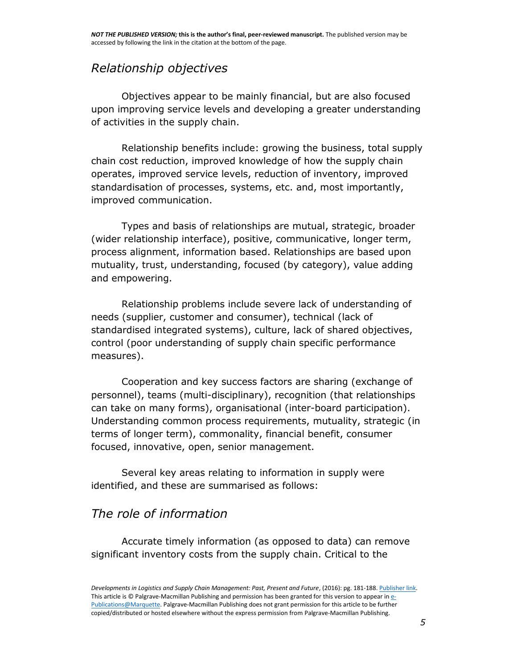### *Relationship objectives*

Objectives appear to be mainly financial, but are also focused upon improving service levels and developing a greater understanding of activities in the supply chain.

Relationship benefits include: growing the business, total supply chain cost reduction, improved knowledge of how the supply chain operates, improved service levels, reduction of inventory, improved standardisation of processes, systems, etc. and, most importantly, improved communication.

Types and basis of relationships are mutual, strategic, broader (wider relationship interface), positive, communicative, longer term, process alignment, information based. Relationships are based upon mutuality, trust, understanding, focused (by category), value adding and empowering.

Relationship problems include severe lack of understanding of needs (supplier, customer and consumer), technical (lack of standardised integrated systems), culture, lack of shared objectives, control (poor understanding of supply chain specific performance measures).

Cooperation and key success factors are sharing (exchange of personnel), teams (multi-disciplinary), recognition (that relationships can take on many forms), organisational (inter-board participation). Understanding common process requirements, mutuality, strategic (in terms of longer term), commonality, financial benefit, consumer focused, innovative, open, senior management.

Several key areas relating to information in supply were identified, and these are summarised as follows:

#### *The role of information*

Accurate timely information (as opposed to data) can remove significant inventory costs from the supply chain. Critical to the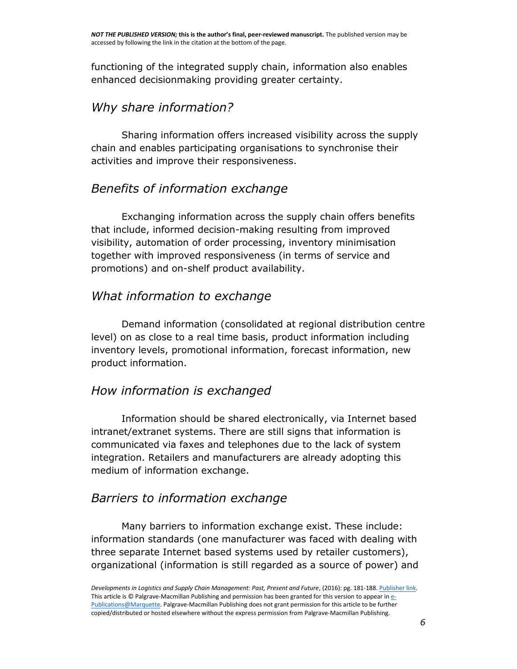functioning of the integrated supply chain, information also enables enhanced decisionmaking providing greater certainty.

#### *Why share information?*

Sharing information offers increased visibility across the supply chain and enables participating organisations to synchronise their activities and improve their responsiveness.

### *Benefits of information exchange*

Exchanging information across the supply chain offers benefits that include, informed decision-making resulting from improved visibility, automation of order processing, inventory minimisation together with improved responsiveness (in terms of service and promotions) and on-shelf product availability.

#### *What information to exchange*

Demand information (consolidated at regional distribution centre level) on as close to a real time basis, product information including inventory levels, promotional information, forecast information, new product information.

#### *How information is exchanged*

Information should be shared electronically, via Internet based intranet/extranet systems. There are still signs that information is communicated via faxes and telephones due to the lack of system integration. Retailers and manufacturers are already adopting this medium of information exchange.

# *Barriers to information exchange*

Many barriers to information exchange exist. These include: information standards (one manufacturer was faced with dealing with three separate Internet based systems used by retailer customers), organizational (information is still regarded as a source of power) and

*Developments in Logistics and Supply Chain Management: Past, Present and Future*, (2016): pg. 181-188[. Publisher link.](http://www.palgrave.com/gp/book/9781137541239)  This article is © Palgrave-Macmillan Publishing and permission has been granted for this version to appear i[n e-](http://epublications.marquette.edu/)[Publications@Marquette.](http://epublications.marquette.edu/) Palgrave-Macmillan Publishing does not grant permission for this article to be further copied/distributed or hosted elsewhere without the express permission from Palgrave-Macmillan Publishing.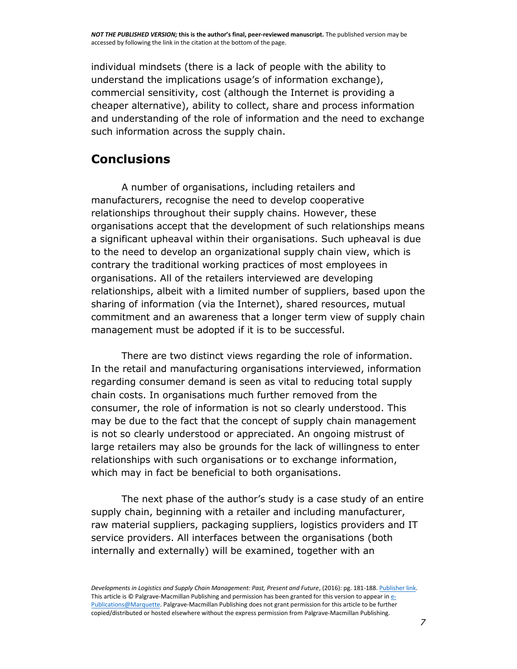individual mindsets (there is a lack of people with the ability to understand the implications usage's of information exchange), commercial sensitivity, cost (although the Internet is providing a cheaper alternative), ability to collect, share and process information and understanding of the role of information and the need to exchange such information across the supply chain.

## **Conclusions**

A number of organisations, including retailers and manufacturers, recognise the need to develop cooperative relationships throughout their supply chains. However, these organisations accept that the development of such relationships means a significant upheaval within their organisations. Such upheaval is due to the need to develop an organizational supply chain view, which is contrary the traditional working practices of most employees in organisations. All of the retailers interviewed are developing relationships, albeit with a limited number of suppliers, based upon the sharing of information (via the Internet), shared resources, mutual commitment and an awareness that a longer term view of supply chain management must be adopted if it is to be successful.

There are two distinct views regarding the role of information. In the retail and manufacturing organisations interviewed, information regarding consumer demand is seen as vital to reducing total supply chain costs. In organisations much further removed from the consumer, the role of information is not so clearly understood. This may be due to the fact that the concept of supply chain management is not so clearly understood or appreciated. An ongoing mistrust of large retailers may also be grounds for the lack of willingness to enter relationships with such organisations or to exchange information, which may in fact be beneficial to both organisations.

The next phase of the author's study is a case study of an entire supply chain, beginning with a retailer and including manufacturer, raw material suppliers, packaging suppliers, logistics providers and IT service providers. All interfaces between the organisations (both internally and externally) will be examined, together with an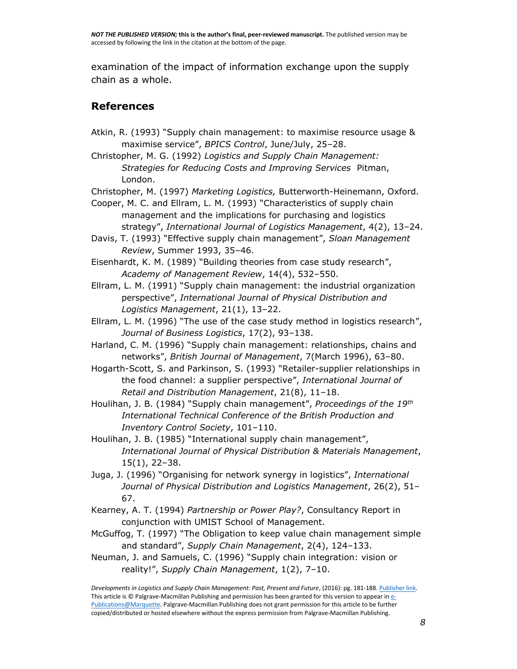examination of the impact of information exchange upon the supply chain as a whole.

#### **References**

- Atkin, R. (1993) "Supply chain management: to maximise resource usage & maximise service", *BPICS Control*, June/July, 25–28.
- Christopher, M. G. (1992) *Logistics and Supply Chain Management: Strategies for Reducing Costs and Improving Services* Pitman, London.
- Christopher, M. (1997) *Marketing Logistics,* Butterworth-Heinemann, Oxford.
- Cooper, M. C. and Ellram, L. M. (1993) "Characteristics of supply chain management and the implications for purchasing and logistics strategy", *International Journal of Logistics Management*, 4(2), 13–24.
- Davis, T. (1993) "Effective supply chain management", *Sloan Management Review*, Summer 1993, 35–46.
- Eisenhardt, K. M. (1989) "Building theories from case study research", *Academy of Management Review*, 14(4), 532–550.
- Ellram, L. M. (1991) "Supply chain management: the industrial organization perspective", *International Journal of Physical Distribution and Logistics Management*, 21(1), 13–22.
- Ellram, L. M. (1996) "The use of the case study method in logistics research", *Journal of Business Logistics*, 17(2), 93–138.
- Harland, C. M. (1996) "Supply chain management: relationships, chains and networks", *British Journal of Management*, 7(March 1996), 63–80.
- Hogarth-Scott, S. and Parkinson, S. (1993) "Retailer-supplier relationships in the food channel: a supplier perspective", *International Journal of Retail and Distribution Management*, 21(8), 11–18.
- Houlihan, J. B. (1984) "Supply chain management", *Proceedings of the 19th International Technical Conference of the British Production and Inventory Control Society*, 101–110.
- Houlihan, J. B. (1985) "International supply chain management", *International Journal of Physical Distribution & Materials Management*, 15(1), 22–38.
- Juga, J. (1996) "Organising for network synergy in logistics", *International Journal of Physical Distribution and Logistics Management*, 26(2), 51– 67.
- Kearney, A. T. (1994) *Partnership or Power Play?*, Consultancy Report in conjunction with UMIST School of Management.
- McGuffog, T. (1997) "The Obligation to keep value chain management simple and standard", *Supply Chain Management*, 2(4), 124–133.
- Neuman, J. and Samuels, C. (1996) "Supply chain integration: vision or reality!", *Supply Chain Management*, 1(2), 7–10.